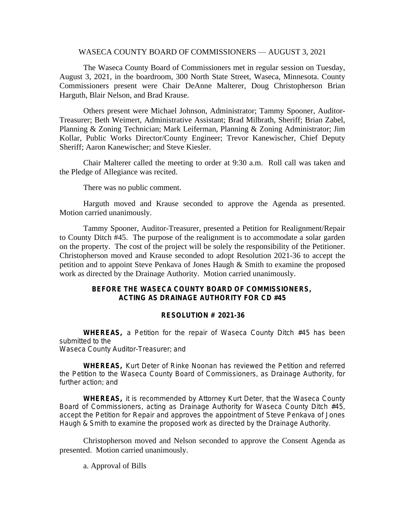#### WASECA COUNTY BOARD OF COMMISSIONERS — AUGUST 3, 2021

The Waseca County Board of Commissioners met in regular session on Tuesday, August 3, 2021, in the boardroom, 300 North State Street, Waseca, Minnesota. County Commissioners present were Chair DeAnne Malterer, Doug Christopherson Brian Harguth, Blair Nelson, and Brad Krause.

Others present were Michael Johnson, Administrator; Tammy Spooner, Auditor-Treasurer; Beth Weimert, Administrative Assistant; Brad Milbrath, Sheriff; Brian Zabel, Planning & Zoning Technician; Mark Leiferman, Planning & Zoning Administrator; Jim Kollar, Public Works Director/County Engineer; Trevor Kanewischer, Chief Deputy Sheriff; Aaron Kanewischer; and Steve Kiesler.

Chair Malterer called the meeting to order at 9:30 a.m. Roll call was taken and the Pledge of Allegiance was recited.

There was no public comment.

Harguth moved and Krause seconded to approve the Agenda as presented. Motion carried unanimously.

Tammy Spooner, Auditor-Treasurer, presented a Petition for Realignment/Repair to County Ditch #45. The purpose of the realignment is to accommodate a solar garden on the property. The cost of the project will be solely the responsibility of the Petitioner. Christopherson moved and Krause seconded to adopt Resolution 2021-36 to accept the petition and to appoint Steve Penkava of Jones Haugh & Smith to examine the proposed work as directed by the Drainage Authority. Motion carried unanimously.

### **BEFORE THE WASECA COUNTY BOARD OF COMMISSIONERS, ACTING AS DRAINAGE AUTHORITY FOR CD #45**

#### **RESOLUTION # 2021-36**

**WHEREAS,** a Petition for the repair of Waseca County Ditch #45 has been submitted to the Waseca County Auditor-Treasurer; and

**WHEREAS,** Kurt Deter of Rinke Noonan has reviewed the Petition and referred the Petition to the Waseca County Board of Commissioners, as Drainage Authority, for further action; and

**WHEREAS,** it is recommended by Attorney Kurt Deter, that the Waseca County Board of Commissioners, acting as Drainage Authority for Waseca County Ditch #45, accept the Petition for Repair and approves the appointment of Steve Penkava of Jones Haugh & Smith to examine the proposed work as directed by the Drainage Authority.

Christopherson moved and Nelson seconded to approve the Consent Agenda as presented. Motion carried unanimously.

### a. Approval of Bills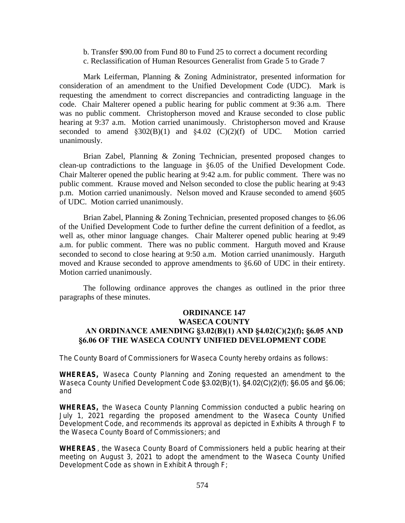- b. Transfer \$90.00 from Fund 80 to Fund 25 to correct a document recording
- c. Reclassification of Human Resources Generalist from Grade 5 to Grade 7

Mark Leiferman, Planning & Zoning Administrator, presented information for consideration of an amendment to the Unified Development Code (UDC). Mark is requesting the amendment to correct discrepancies and contradicting language in the code. Chair Malterer opened a public hearing for public comment at 9:36 a.m. There was no public comment. Christopherson moved and Krause seconded to close public hearing at 9:37 a.m. Motion carried unanimously. Christopherson moved and Krause seconded to amend  $\S 302(B)(1)$  and  $\S 4.02$  (C)(2)(f) of UDC. Motion carried unanimously.

Brian Zabel, Planning & Zoning Technician, presented proposed changes to clean-up contradictions to the language in §6.05 of the Unified Development Code. Chair Malterer opened the public hearing at 9:42 a.m. for public comment. There was no public comment. Krause moved and Nelson seconded to close the public hearing at 9:43 p.m. Motion carried unanimously. Nelson moved and Krause seconded to amend §605 of UDC. Motion carried unanimously.

Brian Zabel, Planning & Zoning Technician, presented proposed changes to §6.06 of the Unified Development Code to further define the current definition of a feedlot, as well as, other minor language changes. Chair Malterer opened public hearing at 9:49 a.m. for public comment. There was no public comment. Harguth moved and Krause seconded to second to close hearing at 9:50 a.m. Motion carried unanimously. Harguth moved and Krause seconded to approve amendments to §6.60 of UDC in their entirety. Motion carried unanimously.

The following ordinance approves the changes as outlined in the prior three paragraphs of these minutes.

## **ORDINANCE 147 WASECA COUNTY AN ORDINANCE AMENDING §3.02(B)(1) AND §4.02(C)(2)(f); §6.05 AND §6.06 OF THE WASECA COUNTY UNIFIED DEVELOPMENT CODE**

The County Board of Commissioners for Waseca County hereby ordains as follows:

**WHEREAS,** Waseca County Planning and Zoning requested an amendment to the Waseca County Unified Development Code §3.02(B)(1), §4.02(C)(2)(f); §6.05 and §6.06; and

**WHEREAS,** the Waseca County Planning Commission conducted a public hearing on July 1, 2021 regarding the proposed amendment to the Waseca County Unified Development Code, and recommends its approval as depicted in Exhibits A through F to the Waseca County Board of Commissioners; and

**WHEREAS**, the Waseca County Board of Commissioners held a public hearing at their meeting on August 3, 2021 to adopt the amendment to the Waseca County Unified Development Code as shown in Exhibit A through F;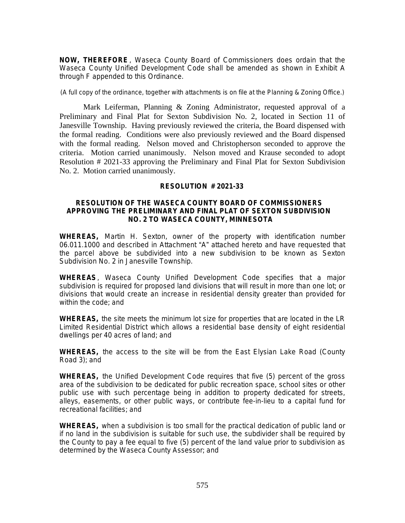**NOW, THEREFORE** , Waseca County Board of Commissioners does ordain that the Waseca County Unified Development Code shall be amended as shown in Exhibit A through F appended to this Ordinance.

(A full copy of the ordinance, together with attachments is on file at the Planning & Zoning Office.)

Mark Leiferman, Planning & Zoning Administrator, requested approval of a Preliminary and Final Plat for Sexton Subdivision No. 2, located in Section 11 of Janesville Township. Having previously reviewed the criteria, the Board dispensed with the formal reading. Conditions were also previously reviewed and the Board dispensed with the formal reading. Nelson moved and Christopherson seconded to approve the criteria. Motion carried unanimously. Nelson moved and Krause seconded to adopt Resolution # 2021-33 approving the Preliminary and Final Plat for Sexton Subdivision No. 2. Motion carried unanimously.

### **RESOLUTION # 2021-33**

#### **RESOLUTION OF THE WASECA COUNTY BOARD OF COMMISSIONERS APPROVING THE PRELIMINARY AND FINAL PLAT OF SEXTON SUBDIVISION NO. 2 TO WASECA COUNTY, MINNESOTA**

**WHEREAS,** Martin H. Sexton, owner of the property with identification number 06.011.1000 and described in Attachment "A" attached hereto and have requested that the parcel above be subdivided into a new subdivision to be known as Sexton Subdivision No. 2 in Janesville Township.

**WHEREAS**, Waseca County Unified Development Code specifies that a major subdivision is required for proposed land divisions that will result in more than one lot; or divisions that would create an increase in residential density greater than provided for within the code; and

**WHEREAS,** the site meets the minimum lot size for properties that are located in the LR Limited Residential District which allows a residential base density of eight residential dwellings per 40 acres of land; and

**WHEREAS,** the access to the site will be from the East Elysian Lake Road (County Road 3); and

**WHEREAS,** the Unified Development Code requires that five (5) percent of the gross area of the subdivision to be dedicated for public recreation space, school sites or other public use with such percentage being in addition to property dedicated for streets, alleys, easements, or other public ways, or contribute fee-in-lieu to a capital fund for recreational facilities; and

**WHEREAS,** when a subdivision is too small for the practical dedication of public land or if no land in the subdivision is suitable for such use, the subdivider shall be required by the County to pay a fee equal to five (5) percent of the land value prior to subdivision as determined by the Waseca County Assessor; and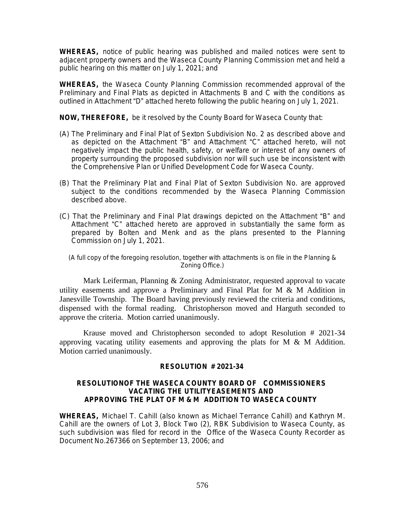**WHEREAS,** notice of public hearing was published and mailed notices were sent to adjacent property owners and the Waseca County Planning Commission met and held a public hearing on this matter on July 1, 2021; and

**WHEREAS,** the Waseca County Planning Commission recommended approval of the Preliminary and Final Plats as depicted in Attachments B and C with the conditions as outlined in Attachment "D" attached hereto following the public hearing on July 1, 2021.

**NOW, THEREFORE,** be it resolved by the County Board for Waseca County that:

- (A) The Preliminary and Final Plat of Sexton Subdivision No. 2 as described above and as depicted on the Attachment "B" and Attachment "C" attached hereto, will not negatively impact the public health, safety, or welfare or interest of any owners of property surrounding the proposed subdivision nor will such use be inconsistent with the Comprehensive Plan or Unified Development Code for Waseca County.
- (B) That the Preliminary Plat and Final Plat of Sexton Subdivision No. are approved subject to the conditions recommended by the Waseca Planning Commission described above.
- (C) That the Preliminary and Final Plat drawings depicted on the Attachment "B" and Attachment "C" attached hereto are approved in substantially the same form as prepared by Bolten and Menk and as the plans presented to the Planning Commission on July 1, 2021.

(A full copy of the foregoing resolution, together with attachments is on file in the Planning & Zoning Office.)

Mark Leiferman, Planning & Zoning Administrator, requested approval to vacate utility easements and approve a Preliminary and Final Plat for M & M Addition in Janesville Township. The Board having previously reviewed the criteria and conditions, dispensed with the formal reading. Christopherson moved and Harguth seconded to approve the criteria. Motion carried unanimously.

Krause moved and Christopherson seconded to adopt Resolution # 2021-34 approving vacating utility easements and approving the plats for  $M \& M$  Addition. Motion carried unanimously.

### **RESOLUTION # 2021-34**

#### **RESOLUTIONOF THE WASECA COUNTY BOARD OF COMMISSIONERS VACATING THE UTILITYEASEMENTS AND APPROVING THE PLAT OF M & M ADDITION TO WASECA COUNTY**

**WHEREAS,** Michael T. Cahill (also known as Michael Terrance Cahill) and Kathryn M. Cahill are the owners of Lot 3, Block Two (2), RBK Subdivision to Waseca County, as such subdivision was filed for record in the Office of the Waseca County Recorder as Document No.267366 on September 13, 2006; and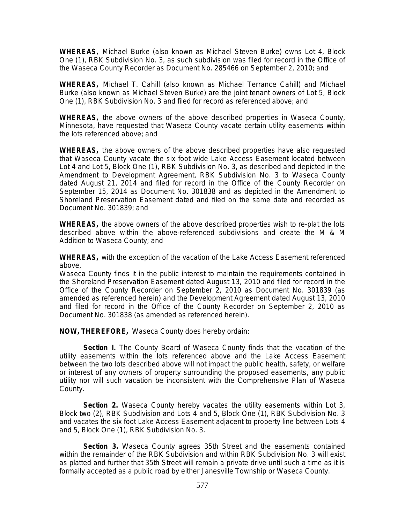**WHEREAS,** Michael Burke (also known as Michael Steven Burke) owns Lot 4, Block One (1), RBK Subdivision No. 3, as such subdivision was filed for record in the Office of the Waseca County Recorder as Document No. 285466 on September 2, 2010; and

**WHEREAS,** Michael T. Cahill (also known as Michael Terrance Cahill) and Michael Burke (also known as Michael Steven Burke) are the joint tenant owners of Lot 5, Block One (1), RBK Subdivision No. 3 and filed for record as referenced above; and

**WHEREAS,** the above owners of the above described properties in Waseca County, Minnesota, have requested that Waseca County vacate certain utility easements within the lots referenced above; and

**WHEREAS,** the above owners of the above described properties have also requested that Waseca County vacate the six foot wide Lake Access Easement located between Lot 4 and Lot 5, Block One (1), RBK Subdivision No. 3, as described and depicted in the Amendment to Development Agreement, RBK Subdivision No. 3 to Waseca County dated August 21, 2014 and filed for record in the Office of the County Recorder on September 15, 2014 as Document No. 301838 and as depicted in the Amendment to Shoreland Preservation Easement dated and filed on the same date and recorded as Document No. 301839; and

**WHEREAS,** the above owners of the above described properties wish to re-plat the lots described above within the above-referenced subdivisions and create the M & M Addition to Waseca County; and

**WHEREAS,** with the exception of the vacation of the Lake Access Easement referenced above,

Waseca County finds it in the public interest to maintain the requirements contained in the Shoreland Preservation Easement dated August 13, 2010 and filed for record in the Office of the County Recorder on September 2, 2010 as Document No. 301839 (as amended as referenced herein) and the Development Agreement dated August 13, 2010 and filed for record in the Office of the County Recorder on September 2, 2010 as Document No. 301838 (as amended as referenced herein).

**NOW, THEREFORE,** Waseca County does hereby ordain:

**Section I.** The County Board of Waseca County finds that the vacation of the utility easements within the lots referenced above and the Lake Access Easement between the two lots described above will not impact the public health, safety, or welfare or interest of any owners of property surrounding the proposed easements, any public utility nor will such vacation be inconsistent with the Comprehensive Plan of Waseca County.

**Section 2.** Waseca County hereby vacates the utility easements within Lot 3, Block two (2), RBK Subdivision and Lots 4 and 5, Block One (1), RBK Subdivision No. 3 and vacates the six foot Lake Access Easement adjacent to property line between Lots 4 and 5, Block One (1), RBK Subdivision No. 3.

**Section 3.** Waseca County agrees 35th Street and the easements contained within the remainder of the RBK Subdivision and within RBK Subdivision No. 3 will exist as platted and further that 35th Street will remain a private drive until such a time as it is formally accepted as a public road by either Janesville Township or Waseca County.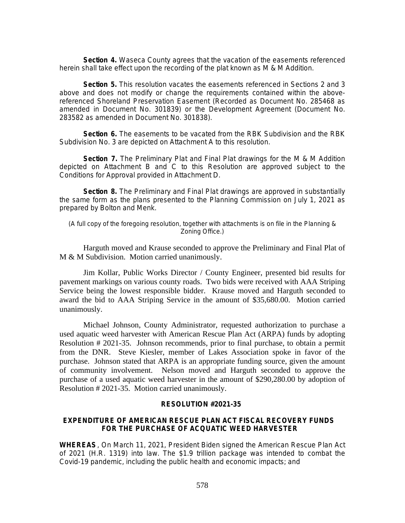**Section 4.** Waseca County agrees that the vacation of the easements referenced herein shall take effect upon the recording of the plat known as M & M Addition.

**Section 5.** This resolution vacates the easements referenced in Sections 2 and 3 above and does not modify or change the requirements contained within the abovereferenced Shoreland Preservation Easement (Recorded as Document No. 285468 as amended in Document No. 301839) or the Development Agreement (Document No. 283582 as amended in Document No. 301838).

**Section 6.** The easements to be vacated from the RBK Subdivision and the RBK Subdivision No. 3 are depicted on Attachment A to this resolution.

**Section 7.** The Preliminary Plat and Final Plat drawings for the M & M Addition depicted on Attachment B and C to this Resolution are approved subject to the Conditions for Approval provided in Attachment D.

**Section 8.** The Preliminary and Final Plat drawings are approved in substantially the same form as the plans presented to the Planning Commission on July 1, 2021 as prepared by Bolton and Menk.

(A full copy of the foregoing resolution, together with attachments is on file in the Planning & Zoning Office.)

Harguth moved and Krause seconded to approve the Preliminary and Final Plat of M & M Subdivision. Motion carried unanimously.

Jim Kollar, Public Works Director / County Engineer, presented bid results for pavement markings on various county roads. Two bids were received with AAA Striping Service being the lowest responsible bidder. Krause moved and Harguth seconded to award the bid to AAA Striping Service in the amount of \$35,680.00. Motion carried unanimously.

Michael Johnson, County Administrator, requested authorization to purchase a used aquatic weed harvester with American Rescue Plan Act (ARPA) funds by adopting Resolution # 2021-35. Johnson recommends, prior to final purchase, to obtain a permit from the DNR. Steve Kiesler, member of Lakes Association spoke in favor of the purchase. Johnson stated that ARPA is an appropriate funding source, given the amount of community involvement. Nelson moved and Harguth seconded to approve the purchase of a used aquatic weed harvester in the amount of \$290,280.00 by adoption of Resolution # 2021-35. Motion carried unanimously.

#### **RESOLUTION #2021-35**

#### **EXPENDITURE OF AMERICAN RESCUE PLAN ACT FISCAL RECOVERY FUNDS FOR THE PURCHASE OF ACQUATIC WEED HARVESTER**

**WHEREAS**, On March 11, 2021, President Biden signed the American Rescue Plan Act of 2021 (H.R. 1319) into law. The \$1.9 trillion package was intended to combat the Covid-19 pandemic, including the public health and economic impacts; and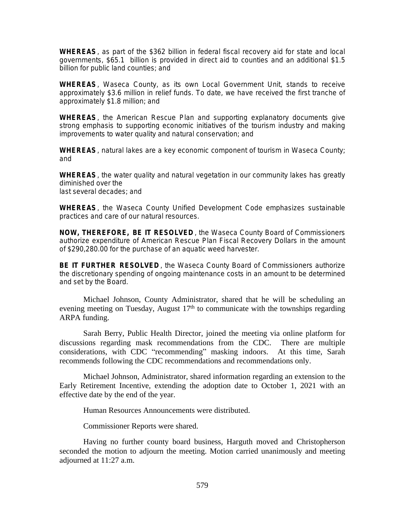**WHEREAS**, as part of the \$362 billion in federal fiscal recovery aid for state and local governments, \$65.1 billion is provided in direct aid to counties and an additional \$1.5 billion for public land counties; and

**WHEREAS**, Waseca County, as its own Local Government Unit, stands to receive approximately \$3.6 million in relief funds. To date, we have received the first tranche of approximately \$1.8 million; and

**WHEREAS**, the American Rescue Plan and supporting explanatory documents give strong emphasis to supporting economic initiatives of the tourism industry and making improvements to water quality and natural conservation; and

**WHEREAS**, natural lakes are a key economic component of tourism in Waseca County; and

**WHEREAS**, the water quality and natural vegetation in our community lakes has greatly diminished over the last several decades; and

**WHEREAS**, the Waseca County Unified Development Code emphasizes sustainable practices and care of our natural resources.

**NOW, THEREFORE, BE IT RESOLVED** , the Waseca County Board of Commissioners authorize expenditure of American Rescue Plan Fiscal Recovery Dollars in the amount of \$290,280.00 for the purchase of an aquatic weed harvester.

**BE IT FURTHER RESOLVED** , the Waseca County Board of Commissioners authorize the discretionary spending of ongoing maintenance costs in an amount to be determined and set by the Board.

Michael Johnson, County Administrator, shared that he will be scheduling an evening meeting on Tuesday, August  $17<sup>th</sup>$  to communicate with the townships regarding ARPA funding.

Sarah Berry, Public Health Director, joined the meeting via online platform for discussions regarding mask recommendations from the CDC. There are multiple considerations, with CDC "recommending" masking indoors. At this time, Sarah recommends following the CDC recommendations and recommendations only.

Michael Johnson, Administrator, shared information regarding an extension to the Early Retirement Incentive, extending the adoption date to October 1, 2021 with an effective date by the end of the year.

Human Resources Announcements were distributed.

Commissioner Reports were shared.

Having no further county board business, Harguth moved and Christopherson seconded the motion to adjourn the meeting. Motion carried unanimously and meeting adjourned at 11:27 a.m.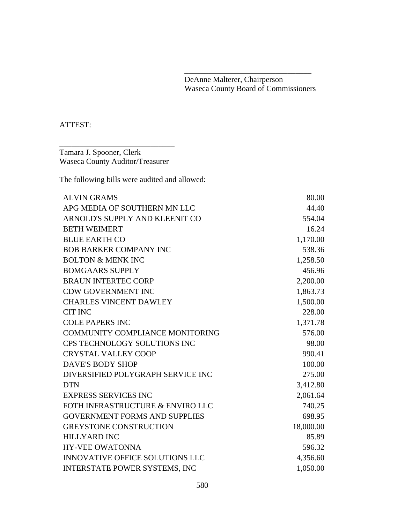DeAnne Malterer, Chairperson Waseca County Board of Commissioners

\_\_\_\_\_\_\_\_\_\_\_\_\_\_\_\_\_\_\_\_\_\_\_\_\_\_\_\_\_\_\_\_

# ATTEST:

Tamara J. Spooner, Clerk Waseca County Auditor/Treasurer

\_\_\_\_\_\_\_\_\_\_\_\_\_\_\_\_\_\_\_\_\_\_\_\_\_\_\_\_\_

The following bills were audited and allowed:

| <b>ALVIN GRAMS</b>                     | 80.00     |
|----------------------------------------|-----------|
| APG MEDIA OF SOUTHERN MN LLC           | 44.40     |
| ARNOLD'S SUPPLY AND KLEENIT CO         | 554.04    |
| <b>BETH WEIMERT</b>                    | 16.24     |
| <b>BLUE EARTH CO</b>                   | 1,170.00  |
| <b>BOB BARKER COMPANY INC</b>          | 538.36    |
| <b>BOLTON &amp; MENK INC</b>           | 1,258.50  |
| <b>BOMGAARS SUPPLY</b>                 | 456.96    |
| <b>BRAUN INTERTEC CORP</b>             | 2,200.00  |
| <b>CDW GOVERNMENT INC</b>              | 1,863.73  |
| <b>CHARLES VINCENT DAWLEY</b>          | 1,500.00  |
| <b>CIT INC</b>                         | 228.00    |
| <b>COLE PAPERS INC</b>                 | 1,371.78  |
| <b>COMMUNITY COMPLIANCE MONITORING</b> | 576.00    |
| CPS TECHNOLOGY SOLUTIONS INC           | 98.00     |
| <b>CRYSTAL VALLEY COOP</b>             | 990.41    |
| <b>DAVE'S BODY SHOP</b>                | 100.00    |
| DIVERSIFIED POLYGRAPH SERVICE INC      | 275.00    |
| <b>DTN</b>                             | 3,412.80  |
| <b>EXPRESS SERVICES INC</b>            | 2,061.64  |
| FOTH INFRASTRUCTURE & ENVIRO LLC       | 740.25    |
| <b>GOVERNMENT FORMS AND SUPPLIES</b>   | 698.95    |
| <b>GREYSTONE CONSTRUCTION</b>          | 18,000.00 |
| <b>HILLYARD INC</b>                    | 85.89     |
| <b>HY-VEE OWATONNA</b>                 | 596.32    |
| <b>INNOVATIVE OFFICE SOLUTIONS LLC</b> | 4,356.60  |
| <b>INTERSTATE POWER SYSTEMS, INC</b>   | 1,050.00  |